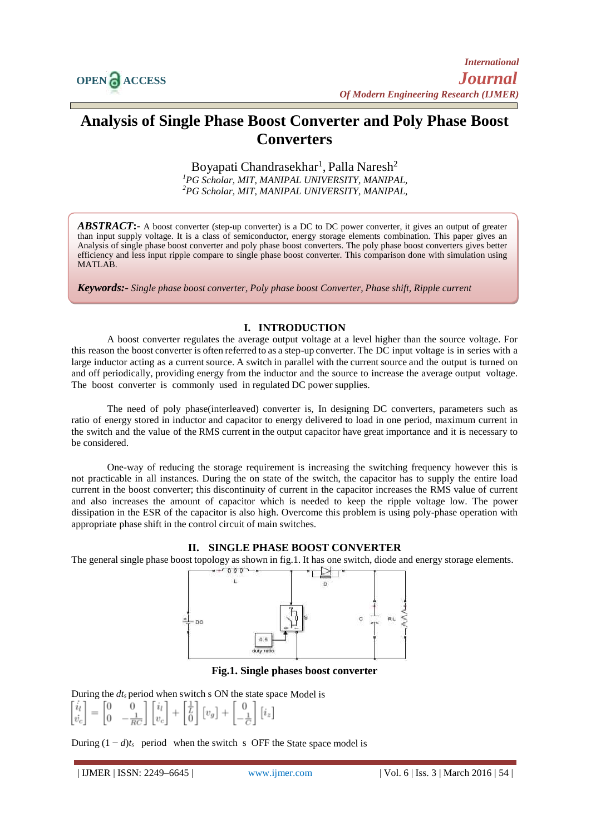

# **Analysis of Single Phase Boost Converter and Poly Phase Boost Converters**

Boyapati Chandrasekhar<sup>1</sup>, Palla Naresh<sup>2</sup> *<sup>1</sup>PG Scholar, MIT, MANIPAL UNIVERSITY, MANIPAL, <sup>2</sup>PG Scholar, MIT, MANIPAL UNIVERSITY, MANIPAL,*

*ABSTRACT***:-** A boost converter (step-up converter) is a DC to DC power converter, it gives an output of greater than input supply voltage. It is a class of semiconductor, energy storage elements combination. This paper gives an Analysis of single phase boost converter and poly phase boost converters. The poly phase boost converters gives better efficiency and less input ripple compare to single phase boost converter. This comparison done with simulation using MATLAB.

*Keywords:- Single phase boost converter, Poly phase boost Converter, Phase shift, Ripple current*

#### **I. INTRODUCTION**

A boost converter regulates the average output voltage at a level higher than the source voltage. For this reason the boost converter is often referred to as a step-up converter. The DC input voltage is in series with a large inductor acting as a current source. A switch in parallel with the current source and the output is turned on and off periodically, providing energy from the inductor and the source to increase the average output voltage. The boost converter is commonly used in regulated DC power supplies.

The need of poly phase(interleaved) converter is, In designing DC converters, parameters such as ratio of energy stored in inductor and capacitor to energy delivered to load in one period, maximum current in the switch and the value of the RMS current in the output capacitor have great importance and it is necessary to be considered.

One-way of reducing the storage requirement is increasing the switching frequency however this is not practicable in all instances. During the on state of the switch, the capacitor has to supply the entire load current in the boost converter; this discontinuity of current in the capacitor increases the RMS value of current and also increases the amount of capacitor which is needed to keep the ripple voltage low. The power dissipation in the ESR of the capacitor is also high. Overcome this problem is using poly-phase operation with appropriate phase shift in the control circuit of main switches.



The general single phase boost topology as shown in fig.1. It has one switch, diode and energy storage elements.



**Fig.1. Single phases boost converter**

During the *dt<sup>s</sup>* period when switch s ON the state space Model is

$$
\begin{bmatrix} i_l \\ \dot{v}_c \end{bmatrix} = \begin{bmatrix} 0 & 0 \\ 0 & -\frac{1}{RC} \end{bmatrix} \begin{bmatrix} i_l \\ v_c \end{bmatrix} + \begin{bmatrix} \frac{1}{L} \\ 0 \end{bmatrix} \begin{bmatrix} v_g \end{bmatrix} + \begin{bmatrix} 0 \\ -\frac{1}{C} \end{bmatrix} \begin{bmatrix} i_z \end{bmatrix}
$$

During  $(1 - d)t_s$  period when the switch s OFF the State space model is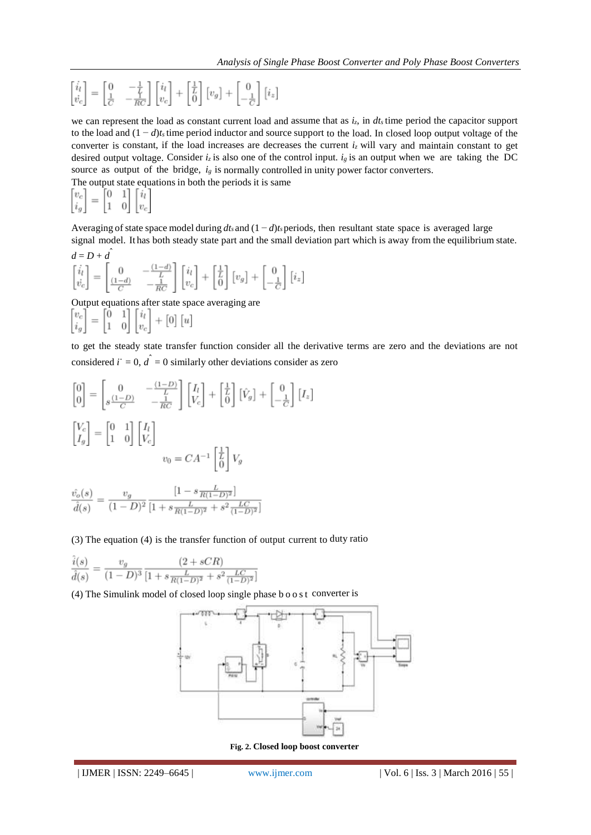$$
\begin{bmatrix} \dot{i}_l \\ \dot{v}_c \end{bmatrix} = \begin{bmatrix} 0 & -\frac{1}{\underline{V}} \\ \frac{1}{C} & -\frac{1}{\underline{R}C} \end{bmatrix} \begin{bmatrix} i_l \\ v_c \end{bmatrix} + \begin{bmatrix} \frac{1}{\underline{L}} \\ 0 \end{bmatrix} \begin{bmatrix} v_g \end{bmatrix} + \begin{bmatrix} 0 \\ -\frac{1}{C} \end{bmatrix} \begin{bmatrix} i_z \end{bmatrix}
$$

we can represent the load as constant current load and assume that as  $i_z$ , in  $dt_s$  time period the capacitor support to the load and (1 − *d*)*t<sup>s</sup>* time period inductor and source support to the load. In closed loop output voltage of the converter is constant, if the load increases are decreases the current  $i<sub>z</sub>$  will vary and maintain constant to get desired output voltage. Consider  $i<sub>z</sub>$  is also one of the control input.  $i<sub>g</sub>$  is an output when we are taking the DC source as output of the bridge, *ig* is normally controlled in unity power factor converters.

The output state equations in both the periods it is same<br> $\begin{bmatrix} v_c \\ i_a \end{bmatrix} = \begin{bmatrix} 0 & 1 \\ 1 & 0 \end{bmatrix} \begin{bmatrix} i_l \\ v_c \end{bmatrix}$  $\begin{bmatrix} v_c \\ i_g \end{bmatrix}$ 

Averaging of state space model during  $dt_s$  and  $(1 - d)t_s$  periods, then resultant state space is averaged large signal model. It has both steady state part and the small deviation part which is away from the equilibrium state.

$$
\begin{aligned}\nd &= D + \hat{d} \\
\begin{bmatrix} \dot{i}_l \\ \dot{v}_c \end{bmatrix} &= \begin{bmatrix} 0 & -\frac{(1-d)}{L} \\ \frac{(1-d)}{C} & -\frac{1}{RC} \end{bmatrix} \begin{bmatrix} \dot{i}_l \\ v_c \end{bmatrix} + \begin{bmatrix} \frac{1}{L} \\ 0 \end{bmatrix} \begin{bmatrix} v_g \end{bmatrix} + \begin{bmatrix} 0 \\ -\frac{1}{C} \end{bmatrix} \begin{bmatrix} i_z \end{bmatrix}\n\end{aligned}
$$

Output equations after state space averaging are<br>  $\begin{bmatrix} v_c \\ i_a \end{bmatrix} = \begin{bmatrix} 0 & 1 \\ 1 & 0 \end{bmatrix} \begin{bmatrix} i_l \\ v_c \end{bmatrix} + \begin{bmatrix} 0 \end{bmatrix} \begin{bmatrix} u \end{bmatrix}$ 

to get the steady state transfer function consider all the derivative terms are zero and the deviations are not considered  $i^{\dagger} = 0$ ,  $d^{\dagger} = 0$  similarly other deviations consider as zero

$$
\begin{bmatrix} 0 \\ 0 \end{bmatrix} = \begin{bmatrix} 0 & -\frac{(1-D)}{L} \\ s\frac{(1-D)}{C} & -\frac{1}{RC} \end{bmatrix} \begin{bmatrix} I_l \\ V_c \end{bmatrix} + \begin{bmatrix} \frac{1}{L} \\ 0 \end{bmatrix} \begin{bmatrix} \hat{V}_g \end{bmatrix} + \begin{bmatrix} 0 \\ -\frac{1}{C} \end{bmatrix} \begin{bmatrix} I_z \end{bmatrix}
$$
\n
$$
\begin{bmatrix} V_c \\ I_g \end{bmatrix} = \begin{bmatrix} 0 & 1 \\ 1 & 0 \end{bmatrix} \begin{bmatrix} I_l \\ V_c \end{bmatrix}
$$
\n
$$
v_0 = CA^{-1} \begin{bmatrix} \frac{1}{L} \\ 0 \end{bmatrix} V_g
$$

$$
\frac{\hat{v}_o(s)}{\hat{d}(s)} = \frac{v_g}{(1-D)^2} \frac{\left[1 - s \frac{L}{R(1-D)^2}\right]}{\left[1 + s \frac{L}{R(1-D)^2} + s^2 \frac{LC}{(1-D)^2}\right]}
$$

(3) The equation (4) is the transfer function of output current to duty ratio

$$
\frac{\hat{i}(s)}{\hat{d}(s)} = \frac{v_g}{(1-D)^3} \frac{(2+sCR)}{[1+s\frac{L}{R(1-D)^2} + s^2 \frac{LC}{(1-D)^2}]}
$$

(4) The Simulink model of closed loop single phase b o o s t converter is



**Fig. 2. Closed loop boost converter**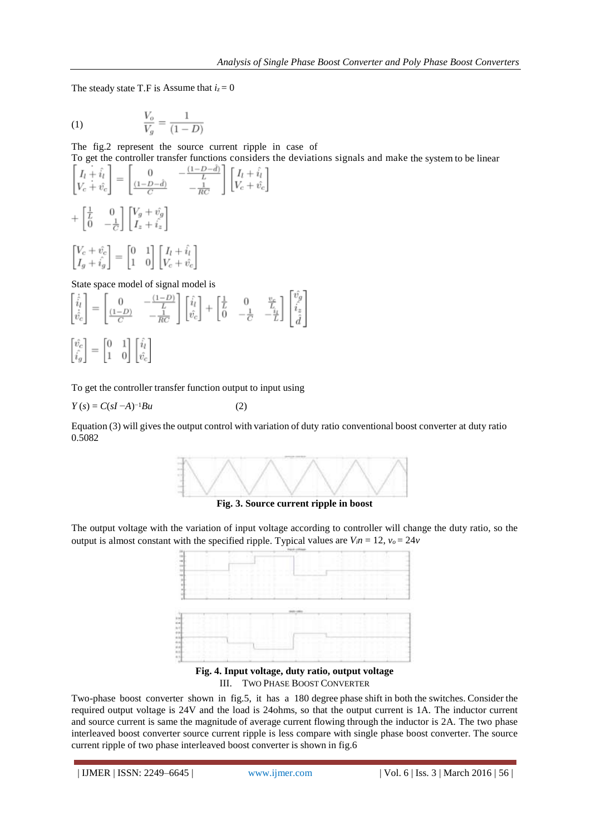The steady state T.F is Assume that  $i_z = 0$ 

(1) 
$$
\frac{V_o}{V_g} = \frac{1}{(1 - D)}
$$

The fig.2 represent the source current ripple in case of

To get the controller transfer functions considers the deviations signals and make the system to be linear

$$
\begin{aligned}\n\begin{bmatrix}\nI_l + \hat{i}_l \\
V_c + \hat{v}_c\n\end{bmatrix} &= \begin{bmatrix}\n0 & -\frac{(1 - D - d)}{L} \\
\frac{(1 - D - d)}{C} & -\frac{1}{RC}\n\end{bmatrix} \begin{bmatrix}\nI_l + \hat{i}_l \\
V_c + \hat{v}_c\n\end{bmatrix} \\
+ \begin{bmatrix}\n\frac{1}{L} & 0 \\
0 & -\frac{1}{C}\n\end{bmatrix} \begin{bmatrix}\nV_g + \hat{v}_g \\
I_z + \hat{i}_z\n\end{bmatrix} \\
\begin{bmatrix}\nV_c + \hat{v}_c \\
I_g + \hat{i}_g\n\end{bmatrix} &= \begin{bmatrix}\n0 & 1 \\
1 & 0\n\end{bmatrix} \begin{bmatrix}\nI_l + \hat{i}_l \\
V_c + \hat{v}_c\n\end{bmatrix}\n\end{aligned}
$$

State space model of signal model is

$$
\begin{bmatrix} \dot{\hat{i}}_l \\ \dot{\hat{v}}_c \end{bmatrix} = \begin{bmatrix} 0 & -\frac{(1-D)}{L} \\ \frac{(1-D)}{C} & -\frac{1}{RC} \end{bmatrix} \begin{bmatrix} \hat{i}_l \\ \hat{v}_c \end{bmatrix} + \begin{bmatrix} \frac{1}{L} & 0 & \frac{v_c}{L} \\ 0 & -\frac{1}{C} & -\frac{i_l}{L} \end{bmatrix} \begin{bmatrix} v_g \\ \hat{i}_z \\ \hat{i}_z \\ \hat{d} \end{bmatrix}
$$

$$
\begin{bmatrix} \hat{v}_c \\ \hat{i}_g \end{bmatrix} = \begin{bmatrix} 0 & 1 \\ 1 & 0 \end{bmatrix} \begin{bmatrix} \hat{i}_l \\ \hat{v}_c \end{bmatrix}
$$

To get the controller transfer function output to input using

$$
Y(s) = C(sI - A)^{-1}Bu
$$

Equation (3) will gives the output control with variation of duty ratio conventional boost converter at duty ratio 0.5082

e a m

−1*Bu* (2)



**Fig. 3. Source current ripple in boost**

The output voltage with the variation of input voltage according to controller will change the duty ratio, so the output is almost constant with the specified ripple. Typical values are  $V_i n = 12$ ,  $v_o = 24v$ 



**Fig. 4. Input voltage, duty ratio, output voltage** III. TWO PHASE BOOST CONVERTER

Two-phase boost converter shown in fig.5, it has a 180 degree phase shift in both the switches. Consider the required output voltage is 24V and the load is 24ohms, so that the output current is 1A. The inductor current and source current is same the magnitude of average current flowing through the inductor is 2A. The two phase interleaved boost converter source current ripple is less compare with single phase boost converter. The source current ripple of two phase interleaved boost converter is shown in fig.6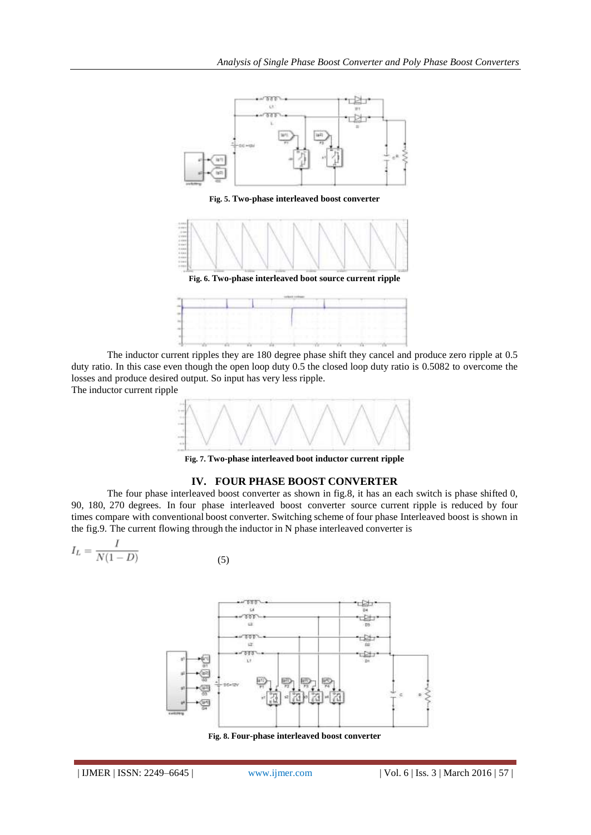

The inductor current ripples they are 180 degree phase shift they cancel and produce zero ripple at 0.5 duty ratio. In this case even though the open loop duty 0.5 the closed loop duty ratio is 0.5082 to overcome the losses and produce desired output. So input has very less ripple.

The inductor current ripple



**Fig. 7. Two-phase interleaved boot inductor current ripple**

### **IV. FOUR PHASE BOOST CONVERTER**

The four phase interleaved boost converter as shown in fig.8, it has an each switch is phase shifted 0, 90, 180, 270 degrees. In four phase interleaved boost converter source current ripple is reduced by four times compare with conventional boost converter. Switching scheme of four phase Interleaved boost is shown in the fig.9. The current flowing through the inductor in N phase interleaved converter is

(5)

$$
I_L = \frac{I}{N(1-D)}
$$



**Fig. 8. Four-phase interleaved boost converter**